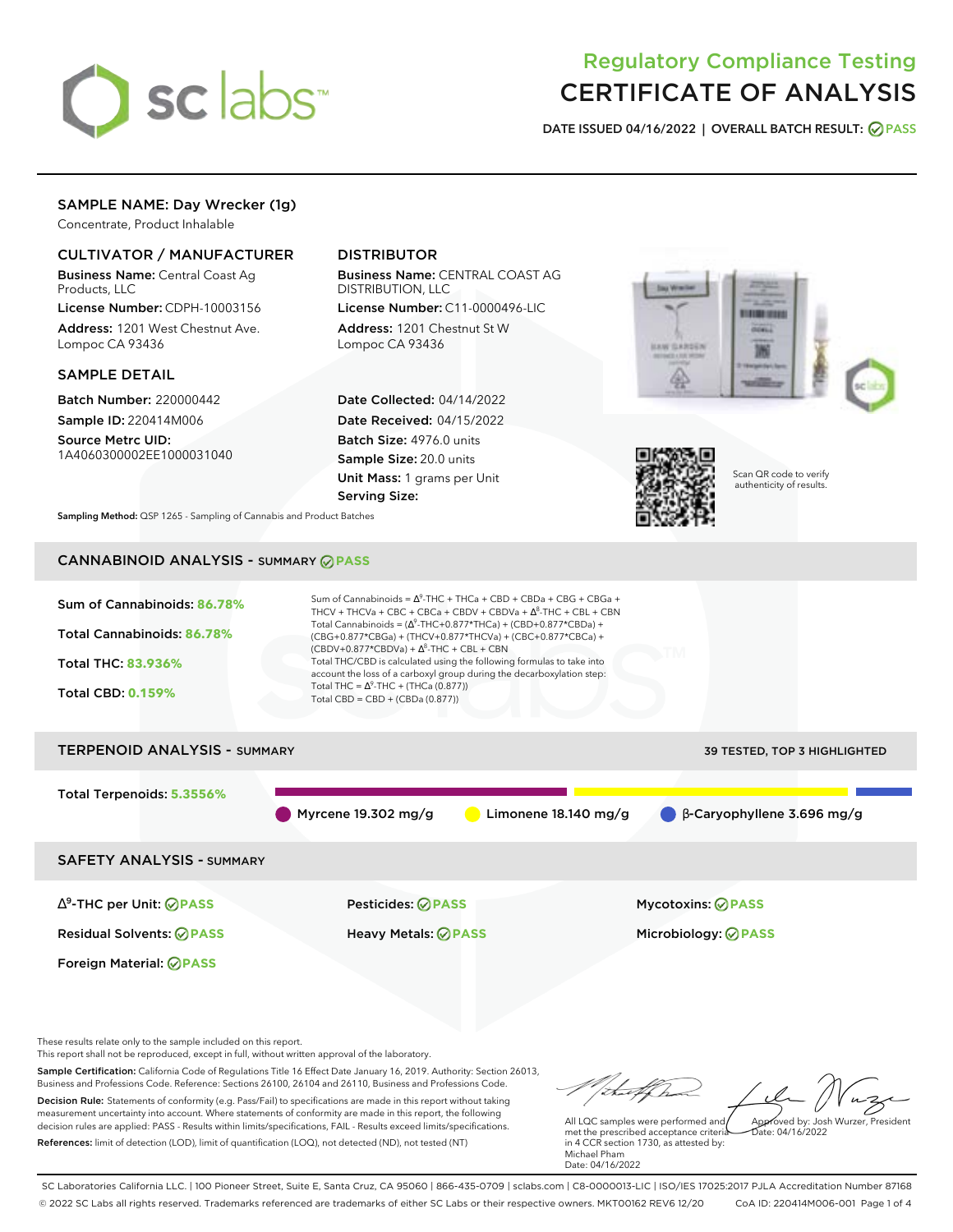

# Regulatory Compliance Testing CERTIFICATE OF ANALYSIS

**DATE ISSUED 04/16/2022 | OVERALL BATCH RESULT: PASS**

# SAMPLE NAME: Day Wrecker (1g)

Concentrate, Product Inhalable

## CULTIVATOR / MANUFACTURER

Business Name: Central Coast Ag Products, LLC

License Number: CDPH-10003156 Address: 1201 West Chestnut Ave. Lompoc CA 93436

### SAMPLE DETAIL

Batch Number: 220000442 Sample ID: 220414M006 Source Metrc UID: 1A4060300002EE1000031040

# DISTRIBUTOR

Business Name: CENTRAL COAST AG DISTRIBUTION, LLC

License Number: C11-0000496-LIC Address: 1201 Chestnut St W Lompoc CA 93436

Date Collected: 04/14/2022 Date Received: 04/15/2022 Batch Size: 4976.0 units Sample Size: 20.0 units Unit Mass: 1 grams per Unit Serving Size:





Scan QR code to verify authenticity of results.

**Sampling Method:** QSP 1265 - Sampling of Cannabis and Product Batches

# CANNABINOID ANALYSIS - SUMMARY **PASS**



Business and Professions Code. Reference: Sections 26100, 26104 and 26110, Business and Professions Code. Decision Rule: Statements of conformity (e.g. Pass/Fail) to specifications are made in this report without taking measurement uncertainty into account. Where statements of conformity are made in this report, the following decision rules are applied: PASS - Results within limits/specifications, FAIL - Results exceed limits/specifications. References: limit of detection (LOD), limit of quantification (LOQ), not detected (ND), not tested (NT)

All LQC samples were performed and Approved by: Josh Wurzer, President  $hat: 04/16/2022$ 

met the prescribed acceptance criteria in 4 CCR section 1730, as attested by: Michael Pham Date: 04/16/2022

SC Laboratories California LLC. | 100 Pioneer Street, Suite E, Santa Cruz, CA 95060 | 866-435-0709 | sclabs.com | C8-0000013-LIC | ISO/IES 17025:2017 PJLA Accreditation Number 87168 © 2022 SC Labs all rights reserved. Trademarks referenced are trademarks of either SC Labs or their respective owners. MKT00162 REV6 12/20 CoA ID: 220414M006-001 Page 1 of 4